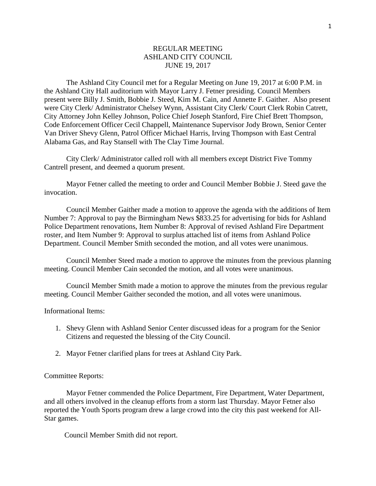## REGULAR MEETING ASHLAND CITY COUNCIL JUNE 19, 2017

The Ashland City Council met for a Regular Meeting on June 19, 2017 at 6:00 P.M. in the Ashland City Hall auditorium with Mayor Larry J. Fetner presiding. Council Members present were Billy J. Smith, Bobbie J. Steed, Kim M. Cain, and Annette F. Gaither. Also present were City Clerk/ Administrator Chelsey Wynn, Assistant City Clerk/ Court Clerk Robin Catrett, City Attorney John Kelley Johnson, Police Chief Joseph Stanford, Fire Chief Brett Thompson, Code Enforcement Officer Cecil Chappell, Maintenance Supervisor Jody Brown, Senior Center Van Driver Shevy Glenn, Patrol Officer Michael Harris, Irving Thompson with East Central Alabama Gas, and Ray Stansell with The Clay Time Journal.

City Clerk/ Administrator called roll with all members except District Five Tommy Cantrell present, and deemed a quorum present.

Mayor Fetner called the meeting to order and Council Member Bobbie J. Steed gave the invocation.

Council Member Gaither made a motion to approve the agenda with the additions of Item Number 7: Approval to pay the Birmingham News \$833.25 for advertising for bids for Ashland Police Department renovations, Item Number 8: Approval of revised Ashland Fire Department roster, and Item Number 9: Approval to surplus attached list of items from Ashland Police Department. Council Member Smith seconded the motion, and all votes were unanimous.

Council Member Steed made a motion to approve the minutes from the previous planning meeting. Council Member Cain seconded the motion, and all votes were unanimous.

Council Member Smith made a motion to approve the minutes from the previous regular meeting. Council Member Gaither seconded the motion, and all votes were unanimous.

## Informational Items:

- 1. Shevy Glenn with Ashland Senior Center discussed ideas for a program for the Senior Citizens and requested the blessing of the City Council.
- 2. Mayor Fetner clarified plans for trees at Ashland City Park.

## Committee Reports:

Mayor Fetner commended the Police Department, Fire Department, Water Department, and all others involved in the cleanup efforts from a storm last Thursday. Mayor Fetner also reported the Youth Sports program drew a large crowd into the city this past weekend for All-Star games.

Council Member Smith did not report.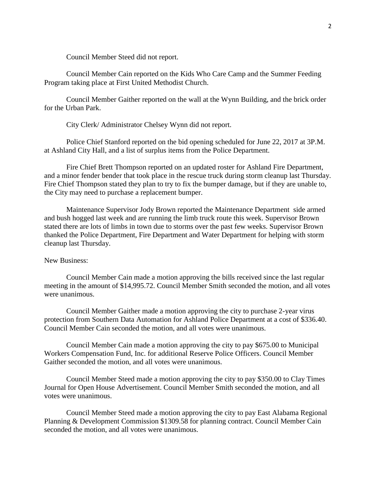Council Member Steed did not report.

Council Member Cain reported on the Kids Who Care Camp and the Summer Feeding Program taking place at First United Methodist Church.

Council Member Gaither reported on the wall at the Wynn Building, and the brick order for the Urban Park.

City Clerk/ Administrator Chelsey Wynn did not report.

Police Chief Stanford reported on the bid opening scheduled for June 22, 2017 at 3P.M. at Ashland City Hall, and a list of surplus items from the Police Department.

Fire Chief Brett Thompson reported on an updated roster for Ashland Fire Department, and a minor fender bender that took place in the rescue truck during storm cleanup last Thursday. Fire Chief Thompson stated they plan to try to fix the bumper damage, but if they are unable to, the City may need to purchase a replacement bumper.

Maintenance Supervisor Jody Brown reported the Maintenance Department side armed and bush hogged last week and are running the limb truck route this week. Supervisor Brown stated there are lots of limbs in town due to storms over the past few weeks. Supervisor Brown thanked the Police Department, Fire Department and Water Department for helping with storm cleanup last Thursday.

## New Business:

Council Member Cain made a motion approving the bills received since the last regular meeting in the amount of \$14,995.72. Council Member Smith seconded the motion, and all votes were unanimous.

Council Member Gaither made a motion approving the city to purchase 2-year virus protection from Southern Data Automation for Ashland Police Department at a cost of \$336.40. Council Member Cain seconded the motion, and all votes were unanimous.

Council Member Cain made a motion approving the city to pay \$675.00 to Municipal Workers Compensation Fund, Inc. for additional Reserve Police Officers. Council Member Gaither seconded the motion, and all votes were unanimous.

Council Member Steed made a motion approving the city to pay \$350.00 to Clay Times Journal for Open House Advertisement. Council Member Smith seconded the motion, and all votes were unanimous.

Council Member Steed made a motion approving the city to pay East Alabama Regional Planning & Development Commission \$1309.58 for planning contract. Council Member Cain seconded the motion, and all votes were unanimous.